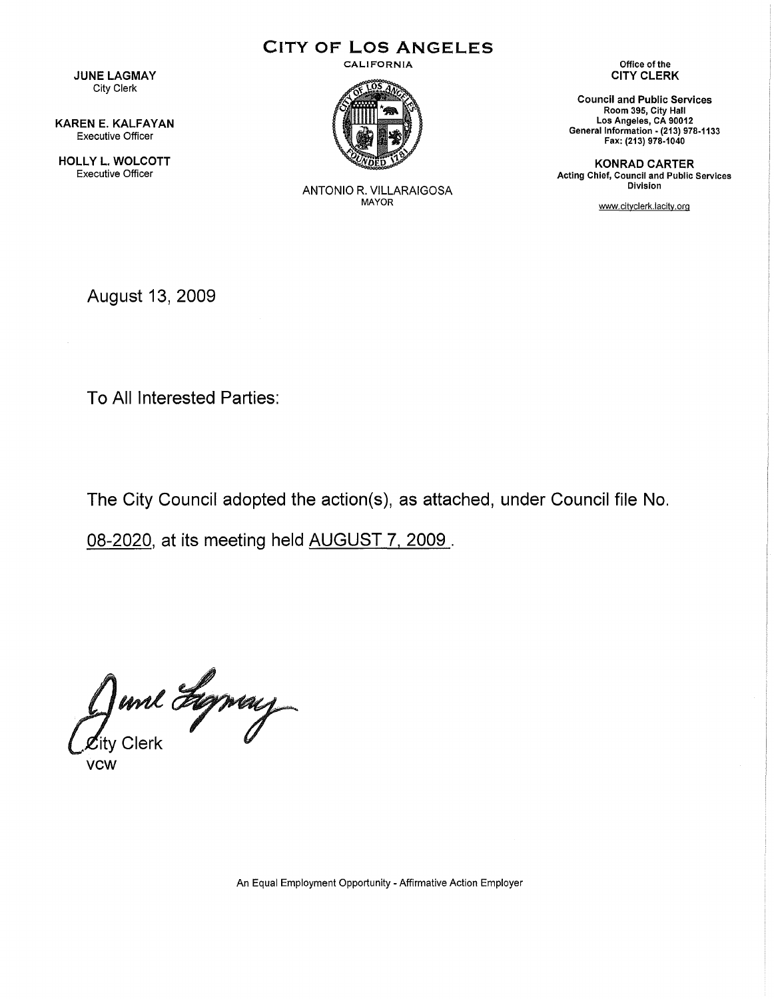CITY OF LOS ANGELES

JUNE LAGMAY City Clerk

KAREN E. KALFAYAN Executive Officer

HOLLY L. WOLCOTT Executive Officer

 $\mathcal{L}$ 

CALIFORNIA



ANTONIO R. VILLARAIGOSA MAYOR

Office of the CITY CLERK

Council and Public Services Room 395, City Hall Los Angeles, CA 90012 General Information- (213) 978-1133 Fax: (213) 978-1040

KONRAD CARTER Acting Chief, Council and Public Services Division

www.cityclerk.lacity.org

August 13, 2009

To All Interested Parties:

The City Council adopted the action(s), as attached, under Council file No.

08-2020, at its meeting held AUGUST 7. 2009 .

June Lyney

An Equal Employment Opportunity - Affirmative Action Employer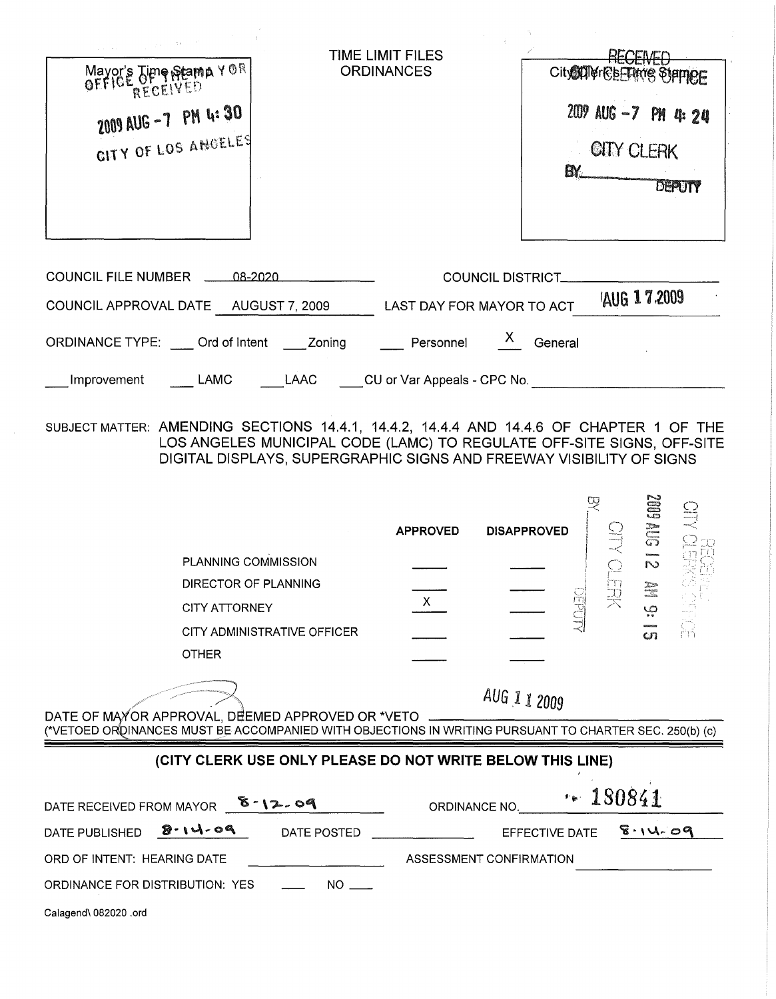| Mayor's Time Stamp YOR<br>RECEIVED<br>2009 AUG -7 PM 4:30<br>CITY OF LOS ANGELES                                                                           | TIME LIMIT FILES<br><b>ORDINANCES</b><br>City <b>ATHER STATIONS</b><br>2009 AUG -7 PM 4: 24<br><b>CITY CLERK</b><br>BY.<br>DEPUTY                                                                       |
|------------------------------------------------------------------------------------------------------------------------------------------------------------|---------------------------------------------------------------------------------------------------------------------------------------------------------------------------------------------------------|
| COUNCIL FILE NUMBER 48-2020                                                                                                                                | <b>COUNCIL DISTRICT_</b>                                                                                                                                                                                |
| COUNCIL APPROVAL DATE AUGUST 7, 2009                                                                                                                       | 'AUG 17.2009<br>LAST DAY FOR MAYOR TO ACT                                                                                                                                                               |
| ORDINANCE TYPE: Crd of Intent Zoning                                                                                                                       | $\mathbf{x}$<br>Personnel<br>General                                                                                                                                                                    |
| LAMC<br>Improvement                                                                                                                                        | LAAC CU or Var Appeals - CPC No.                                                                                                                                                                        |
| SUBJECT MATTER: AMENDING SECTIONS 14.4.1, 14.4.2, 14.4.4 AND 14.4.6 OF CHAPTER 1 OF THE                                                                    | LOS ANGELES MUNICIPAL CODE (LAMC) TO REGULATE OFF-SITE SIGNS, OFF-SITE<br>DIGITAL DISPLAYS, SUPERGRAPHIC SIGNS AND FREEWAY VISIBILITY OF SIGNS<br>$21$ SNN 600<br><b>APPROVED</b><br><b>DISAPPROVED</b> |
| PLANNING COMMISSION                                                                                                                                        |                                                                                                                                                                                                         |
| DIRECTOR OF PLANNING                                                                                                                                       | DEPU<br>X.                                                                                                                                                                                              |
| <b>CITY ATTORNEY</b><br>CITY ADMINISTRATIVE OFFICER                                                                                                        | $\mathcal{Q}$                                                                                                                                                                                           |
| <b>OTHER</b>                                                                                                                                               | ഗ്ന                                                                                                                                                                                                     |
| DATE OF MAYOR APPROVAL, DEEMED APPROVED OR *VETO<br>(*VETOED ORDINANCES MUST BE ACCOMPANIED WITH OBJECTIONS IN WRITING PURSUANT TO CHARTER SEC. 250(b) (c) | AUG 1 1 2009                                                                                                                                                                                            |
| (CITY CLERK USE ONLY PLEASE DO NOT WRITE BELOW THIS LINE)                                                                                                  |                                                                                                                                                                                                         |
| DATE RECEIVED FROM MAYOR <b>6</b> 12.09                                                                                                                    | $+ 180841$<br>ORDINANCE NO.                                                                                                                                                                             |
| 8.14.09<br>DATE PUBLISHED<br>DATE POSTED                                                                                                                   | $8 - 14 - 09$<br>EFFECTIVE DATE                                                                                                                                                                         |
| ORD OF INTENT: HEARING DATE                                                                                                                                | ASSESSMENT CONFIRMATION                                                                                                                                                                                 |
| $NO \_$<br>ORDINANCE FOR DISTRIBUTION: YES                                                                                                                 |                                                                                                                                                                                                         |
| Calagend\ 082020 .ord                                                                                                                                      |                                                                                                                                                                                                         |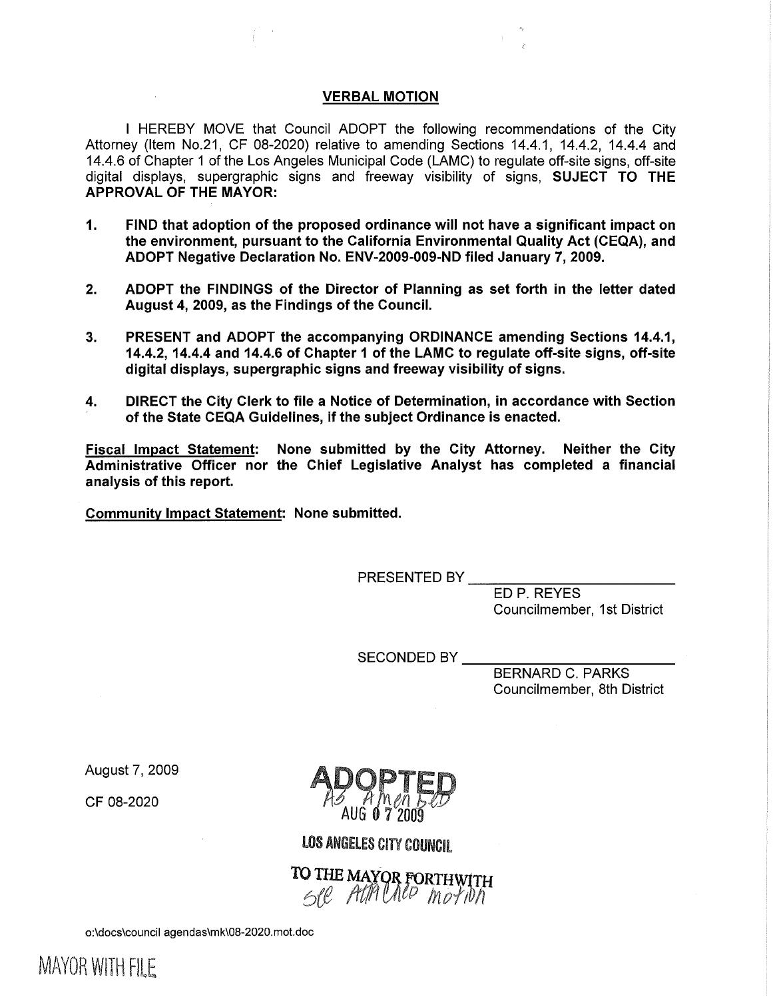#### VERBAL MOTION

I HEREBY MOVE that Council ADOPT the following recommendations of the City Attorney (Item No.21, CF 08-2020) relative to amending Sections 14.4.1, 14.4.2, 14.4.4 and 14.4.6 of Chapter 1 of the Los Angeles Municipal Code (LAMC) to regulate off-site signs, off-site digital displays, supergraphic signs and freeway visibility of signs, SUJECT TO THE APPROVAL OF THE MAYOR:

- 1. FIND that adoption of the proposed ordinance will not have a significant impact on the environment, pursuant to the California Environmental Quality Act (CEQA), and ADOPT Negative Declaration No. ENV-2009-009-ND filed January 7, 2009.
- 2. ADOPT the FINDINGS of the Director of Planning as set forth in the letter dated August 4, 2009, as the Findings of the Council.
- 3. PRESENT and ADOPT the accompanying ORDINANCE amending Sections 14.4.1, 14.4.2, 14.4.4 and 14.4.6 of Chapter 1 of the LAMC to regulate off-site signs, off-site digital displays, supergraphic signs and freeway visibility of signs.
- 4. DIRECT the City Clerk to file a Notice of Determination, in accordance with Section of the State CEQA Guidelines, if the subject Ordinance is enacted.

Fiscal Impact Statement: None submitted by the City Attorney. Neither the City Administrative Officer nor the Chief Legislative Analyst has completed a financial analysis of this report.

Community Impact Statement: None submitted.

PRESENTED BY \_\_\_\_

ED P. REYES Councilmember, 1st District

SECONDED BY

BERNARD C. PARKS Councilmember, 8th District

August 7, 2009

CF 08-2020

LOS ANGELES CITY COUNCIL

TO THE MAXOR FORTHWITH /t{/11 VI}P *In* o{ID */1* 

o:\docs\council agendas\mk\08-2020.mot.doc

MAYOR WITH FILE